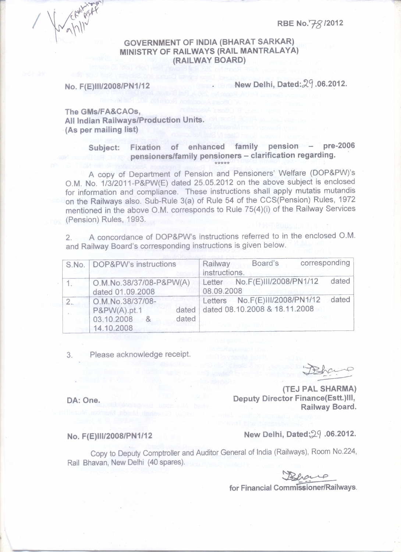**RBE No. 7-8 12012** 

### **GOVERNMENT OF INDIA (BHARAT SARKAR) MINISTRY OF RAILWAYS (RAIL MANTRALAYA) (RAILWAY BOARD)**

**No. F(E)III/2008/PN1/12** New Delhi, Dated: 29.06.2012.

**The GMs/FA&CAOs, All Indian Railways/Production Units. (As per mailing list)** 

### Subject: Fixation of enhanced family pension - pre-2006 **pensioners/family pensioners - clarification regarding. \*\*\*\*\***

A copy of Department of Pension and Pensioners' Welfare (DOP&PW)'s O.M. No. 1/3/2011-P&PW(E) dated 25.05.2012 on the above subject is enclosed for information and compliance. These instructions shall apply mutatis mutandis on the Railways also. Sub-Rule 3(a) of Rule 54 of the CCS(Pension) Rules, 1972 mentioned in the above O.M. corresponds to Rule 75(4)(i) of the Railway Services (Pension) Rules, 1993.

2. A concordance of DOP&PW's instructions referred to in the enclosed O.M. and Railway Board's corresponding instructions is given below.

| S.No.   DOP&PW's instructions                                                       | corresponding<br>Board's<br>Railway<br>instructions.                     |
|-------------------------------------------------------------------------------------|--------------------------------------------------------------------------|
| O.M.No.38/37/08-P&PW(A)<br>dated 01.09.2008                                         | dated<br>Letter No.F(E)III/2008/PN1/12<br>08.09.2008                     |
| O.M.No.38/37/08-<br>P&PW(A).pt.1<br>dated<br>dated<br>03.10.2008<br>8<br>14.10.2008 | dated<br>Letters No.F(E)III/2008/PN1/12<br>dated 08.10.2008 & 18.11.2008 |

3. Please acknowledge receipt.

Dehano

**(TEJ PAL SHARMA) Deputy Director Finance(Estt.)III, Railway Board.** 

# **No. F(E)III/2008/PN 1/12**

DA: One.

**New Delhi, Dated: 29 .06.2012.** 

Copy to Deputy Comptroller and Auditor General of India (Railways), Room No.224, navan, New Delhi (40 spares).<br> **For Financial Commissioner/Railways.** Rail Bhavan, New Delhi (40 spares).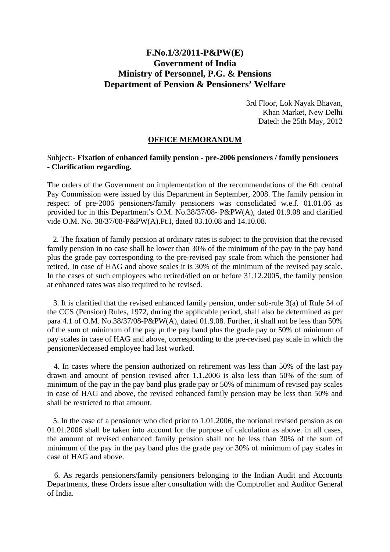## **F.No.1/3/2011-P&PW(E) Government of India Ministry of Personnel, P.G. & Pensions Department of Pension & Pensioners' Welfare**

3rd Floor, Lok Nayak Bhavan, Khan Market, New Delhi Dated: the 25th May, 2012

### **OFFICE MEMORANDUM**

### Subject:- **Fixation of enhanced family pension - pre-2006 pensioners / family pensioners - Clarification regarding.**

The orders of the Government on implementation of the recommendations of the 6th central Pay Commission were issued by this Department in September, 2008. The family pension in respect of pre-2006 pensioners/family pensioners was consolidated w.e.f. 01.01.06 as provided for in this Department's O.M. No.38/37/08- P&PW(A), dated 01.9.08 and clarified vide O.M. No. 38/37/08-P&PW(A).Pt.I, dated 03.10.08 and 14.10.08.

 2. The fixation of family pension at ordinary rates is subject to the provision that the revised family pension in no case shall be lower than 30% of the minimum of the pay in the pay band plus the grade pay corresponding to the pre-revised pay scale from which the pensioner had retired. In case of HAG and above scales it is 30% of the minimum of the revised pay scale. In the cases of such employees who retired/died on or before 31.12.2005, the family pension at enhanced rates was also required to he revised.

 3. It is clarified that the revised enhanced family pension, under sub-rule 3(a) of Rule 54 of the CCS (Pension) Rules, 1972, during the applicable period, shall also be determined as per para 4.1 of O.M. No.38/37/08-P&PW(A), dated 01.9.08. Further, it shall not be less than 50% of the sum of minimum of the pay in the pay band plus the grade pay or 50% of minimum of pay scales in case of HAG and above, corresponding to the pre-revised pay scale in which the pensioner/deceased employee had last worked.

 4. In cases where the pension authorized on retirement was less than 50% of the last pay drawn and amount of pension revised after 1.1.2006 is also less than 50% of the sum of minimum of the pay in the pay band plus grade pay or 50% of minimum of revised pay scales in case of HAG and above, the revised enhanced family pension may be less than 50% and shall be restricted to that amount.

 5. In the case of a pensioner who died prior to 1.01.2006, the notional revised pension as on 01.01.2006 shall be taken into account for the purpose of calculation as above. in all cases, the amount of revised enhanced family pension shall not be less than 30% of the sum of minimum of the pay in the pay band plus the grade pay or 30% of minimum of pay scales in case of HAG and above.

 6. As regards pensioners/family pensioners belonging to the Indian Audit and Accounts Departments, these Orders issue after consultation with the Comptroller and Auditor General of India.